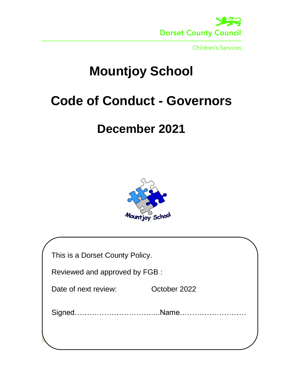

# **Mountjoy School**

## **Code of Conduct - Governors**

### **December 2021**



| This is a Dorset County Policy. |              |
|---------------------------------|--------------|
| Reviewed and approved by FGB :  |              |
| Date of next review:            | October 2022 |
|                                 |              |
|                                 |              |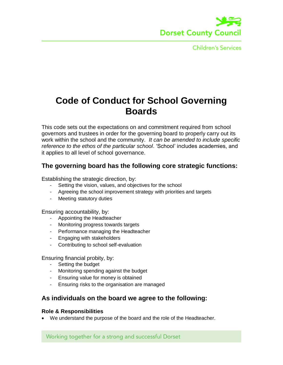

### **Code of Conduct for School Governing Boards**

This code sets out the expectations on and commitment required from school governors and trustees in order for the governing board to properly carry out its work within the school and the community. *It can be amended to include specific reference to the ethos of the particular school*. 'School' includes academies, and it applies to all level of school governance.

#### **The governing board has the following core strategic functions:**

Establishing the strategic direction, by:

- Setting the vision, values, and objectives for the school
- Agreeing the school improvement strategy with priorities and targets
- Meeting statutory duties

Ensuring accountability, by:

- Appointing the Headteacher
- Monitoring progress towards targets
- Performance managing the Headteacher
- Engaging with stakeholders
- Contributing to school self-evaluation

Ensuring financial probity, by:

- Setting the budget
- Monitoring spending against the budget
- Ensuring value for money is obtained
- Ensuring risks to the organisation are managed

#### **As individuals on the board we agree to the following:**

#### **Role & Responsibilities**

We understand the purpose of the board and the role of the Headteacher.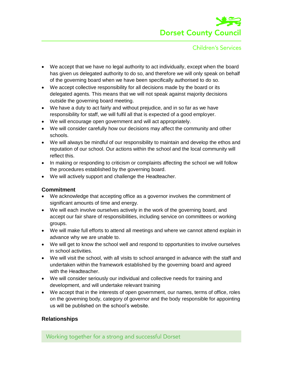

- We accept that we have no legal authority to act individually, except when the board has given us delegated authority to do so, and therefore we will only speak on behalf of the governing board when we have been specifically authorised to do so.
- We accept collective responsibility for all decisions made by the board or its delegated agents. This means that we will not speak against majority decisions outside the governing board meeting.
- We have a duty to act fairly and without prejudice, and in so far as we have responsibility for staff, we will fulfil all that is expected of a good employer.
- We will encourage open government and will act appropriately.
- We will consider carefully how our decisions may affect the community and other schools.
- We will always be mindful of our responsibility to maintain and develop the ethos and reputation of our school. Our actions within the school and the local community will reflect this.
- In making or responding to criticism or complaints affecting the school we will follow the procedures established by the governing board.
- We will actively support and challenge the Headteacher.

#### **Commitment**

- We acknowledge that accepting office as a governor involves the commitment of significant amounts of time and energy.
- We will each involve ourselves actively in the work of the governing board, and accept our fair share of responsibilities, including service on committees or working groups.
- We will make full efforts to attend all meetings and where we cannot attend explain in advance why we are unable to.
- We will get to know the school well and respond to opportunities to involve ourselves in school activities.
- We will visit the school, with all visits to school arranged in advance with the staff and undertaken within the framework established by the governing board and agreed with the Headteacher.
- We will consider seriously our individual and collective needs for training and development, and will undertake relevant training
- We accept that in the interests of open government, our names, terms of office, roles on the governing body, category of governor and the body responsible for appointing us will be published on the school's website.

#### **Relationships**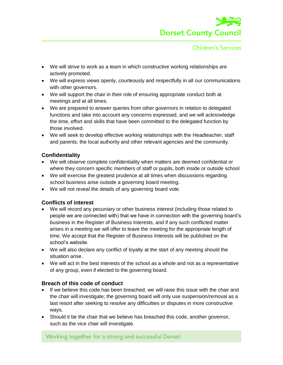

- We will strive to work as a team in which constructive working relationships are actively promoted.
- We will express views openly, courteously and respectfully in all our communications with other governors.
- We will support the chair in their role of ensuring appropriate conduct both at meetings and at all times.
- We are prepared to answer queries from other governors in relation to delegated functions and take into account any concerns expressed, and we will acknowledge the time, effort and skills that have been committed to the delegated function by those involved.
- We will seek to develop effective working relationships with the Headteacher, staff and parents, the local authority and other relevant agencies and the community.

#### **Confidentiality**

- We will observe complete confidentiality when matters are deemed confidential or where they concern specific members of staff or pupils, both inside or outside school
- We will exercise the greatest prudence at all times when discussions regarding school business arise outside a governing board meeting.
- We will not reveal the details of any governing board vote.

#### **Conflicts of interest**

- We will record any pecuniary or other business interest (including those related to people we are connected with) that we have in connection with the governing board's business in the Register of Business Interests, and if any such conflicted matter arises in a meeting we will offer to leave the meeting for the appropriate length of time. We accept that the Register of Business Interests will be published on the school's website.
- We will also declare any conflict of loyalty at the start of any meeting should the situation arise.
- We will act in the best interests of the school as a whole and not as a representative of any group, even if elected to the governing board.

#### **Breach of this code of conduct**

- If we believe this code has been breached, we will raise this issue with the chair and the chair will investigate; the governing board will only use suspension/removal as a last resort after seeking to resolve any difficulties or disputes in more constructive ways.
- Should it be the chair that we believe has breached this code, another governor, such as the vice chair will investigate.